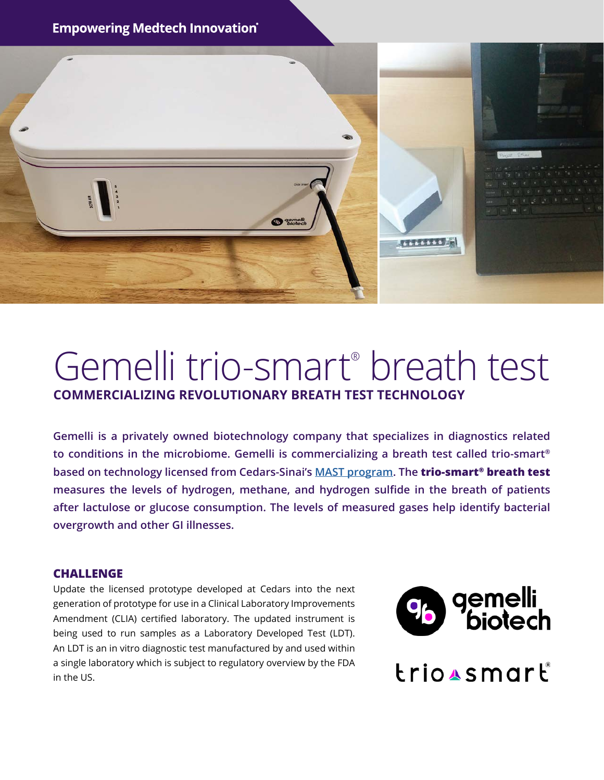

# Gemelli trio-smart® breath test **COMMERCIALIZING REVOLUTIONARY BREATH TEST TECHNOLOGY**

**Gemelli is a privately owned biotechnology company that specializes in diagnostics related to conditions in the microbiome. Gemelli is commercializing a breath test called trio-smart® based on technology licensed from Cedars-Sinai's [MAST program.](https://www.cedars-sinai.edu/research/areas/science-tech.html) The trio-smart® breath test measures the levels of hydrogen, methane, and hydrogen sulfide in the breath of patients after lactulose or glucose consumption. The levels of measured gases help identify bacterial overgrowth and other GI illnesses.**

# **CHALLENGE**

Update the licensed prototype developed at Cedars into the next generation of prototype for use in a Clinical Laboratory Improvements Amendment (CLIA) certified laboratory. The updated instrument is being used to run samples as a Laboratory Developed Test (LDT). An LDT is an in vitro diagnostic test manufactured by and used within a single laboratory which is subject to regulatory overview by the FDA in the US.

**gemelli<br>biotech** 

 $krio<sub>4</sub> smar<sub>k</sub>$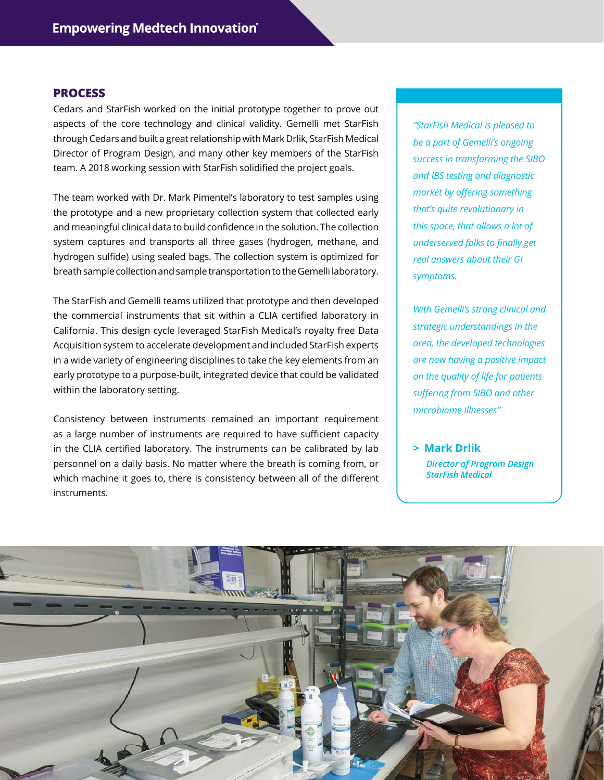### **PROCESS**

Cedars and StarFish worked on the initial prototype together to prove out aspects of the core technology and clinical validity. Gemelli met StarFish through Cedars and built a great relationship with Mark Drlik, StarFish Medical Director of Program Design, and many other key members of the StarFish team. A 2018 working session with StarFish solidified the project goals.

The team worked with Dr. Mark Pimentel's laboratory to test samples using the prototype and a new proprietary collection system that collected early and meaningful clinical data to build confidence in the solution. The collection system captures and transports all three gases (hydrogen, methane, and hydrogen sulfide) using sealed bags. The collection system is optimized for breath sample collection and sample transportation to the Gemelli laboratory.

The StarFish and Gemelli teams utilized that prototype and then developed the commercial instruments that sit within a CLIA certified laboratory in California. This design cycle leveraged StarFish Medical's royalty free Data Acquisition system to accelerate development and included StarFish experts in a wide variety of engineering disciplines to take the key elements from an early prototype to a purpose-built, integrated device that could be validated within the laboratory setting.

Consistency between instruments remained an important requirement as a large number of instruments are required to have sufficient capacity in the CLIA certified laboratory. The instruments can be calibrated by lab personnel on a daily basis. No matter where the breath is coming from, or which machine it goes to, there is consistency between all of the different instruments.

*"StarFish Medical is pleased to be a part of Gemelli's ongoing success in transforming the SIBO and IBS testing and diagnostic market by offering something that's quite revolutionary in this space, that allows a lot of underserved folks to finally get real answers about their GI symptoms.* 

*With Gemelli's strong clinical and strategic understandings in the area, the developed technologies are now having a positive impact on the quality of life for patients suffering from SIBO and other microbiome illnesses"*

- **> Mark Drlik**
	- *Director of Program Design StarFish Medical*

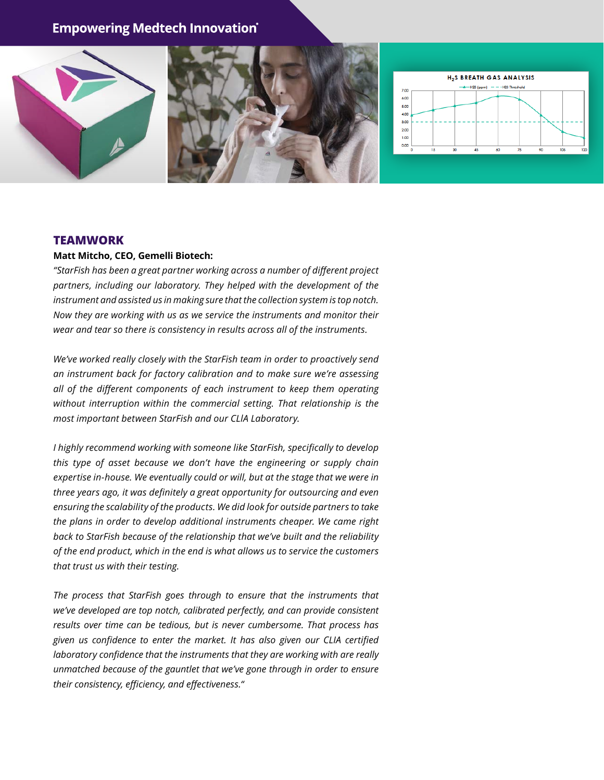# **Empowering Medtech Innovation**®





# **TEAMWORK**

#### **Matt Mitcho, CEO, Gemelli Biotech:**

*"StarFish has been a great partner working across a number of different project partners, including our laboratory. They helped with the development of the instrument and assisted us in making sure that the collection system is top notch. Now they are working with us as we service the instruments and monitor their wear and tear so there is consistency in results across all of the instruments.* 

*We've worked really closely with the StarFish team in order to proactively send an instrument back for factory calibration and to make sure we're assessing all of the different components of each instrument to keep them operating without interruption within the commercial setting. That relationship is the most important between StarFish and our CLlA Laboratory.* 

*I highly recommend working with someone like StarFish, specifically to develop this type of asset because we don't have the engineering or supply chain expertise in-house. We eventually could or will, but at the stage that we were in three years ago, it was definitely a great opportunity for outsourcing and even ensuring the scalability of the products. We did look for outside partners to take the plans in order to develop additional instruments cheaper. We came right back to StarFish because of the relationship that we've built and the reliability of the end product, which in the end is what allows us to service the customers that trust us with their testing.* 

*The process that StarFish goes through to ensure that the instruments that we've developed are top notch, calibrated perfectly, and can provide consistent results over time can be tedious, but is never cumbersome. That process has given us confidence to enter the market. It has also given our CLIA certified laboratory confidence that the instruments that they are working with are really unmatched because of the gauntlet that we've gone through in order to ensure their consistency, efficiency, and effectiveness."*